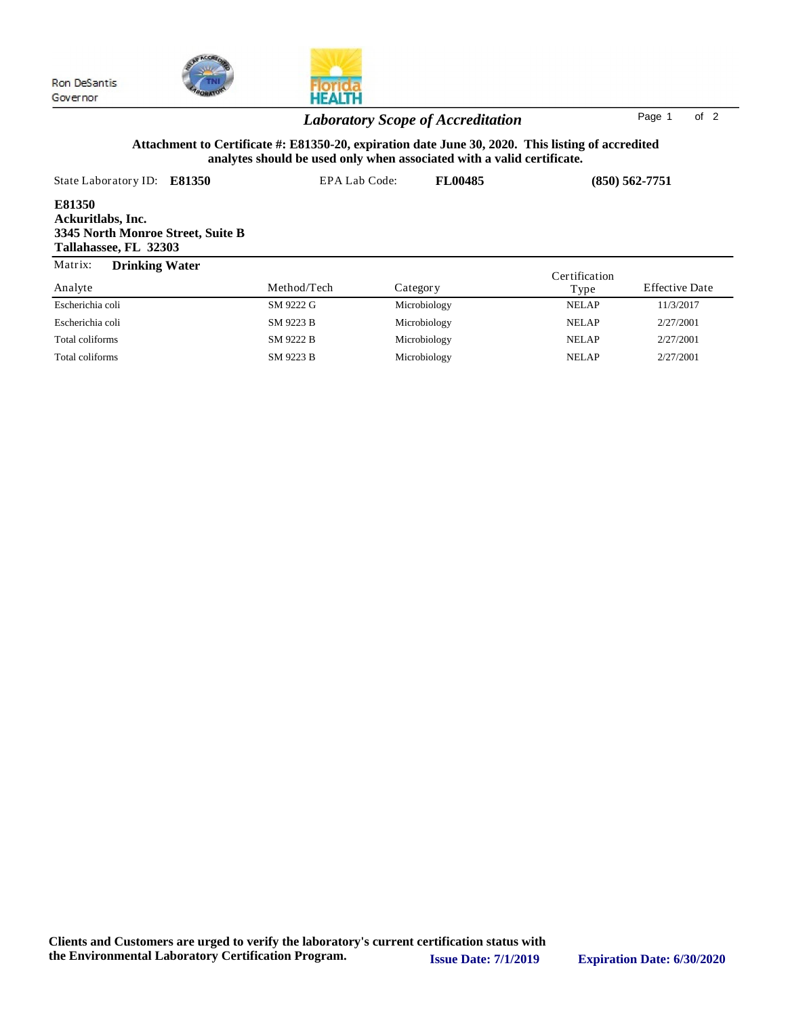

# HEALTH

### *Laboratory Scope of Accreditation* Page <sup>1</sup> of <sup>2</sup>

### **Attachment to Certificate #: E81350-20, expiration date June 30, 2020. This listing of accredited analytes should be used only when associated with a valid certificate.**

| State Laboratory ID:<br>E81350                                                            | EPA Lab Code: |              | <b>FL00485</b> | $(850) 562 - 7751$ |                       |
|-------------------------------------------------------------------------------------------|---------------|--------------|----------------|--------------------|-----------------------|
| E81350<br>Ackuritlabs, Inc.<br>3345 North Monroe Street, Suite B<br>Tallahassee, FL 32303 |               |              |                |                    |                       |
| Matrix:<br><b>Drinking Water</b>                                                          |               |              |                | Certification      |                       |
| Analyte                                                                                   | Method/Tech   | Category     |                | Type               | <b>Effective Date</b> |
| Escherichia coli                                                                          | SM 9222 G     | Microbiology |                | <b>NELAP</b>       | 11/3/2017             |
| Escherichia coli                                                                          | SM 9223 B     | Microbiology |                | <b>NELAP</b>       | 2/27/2001             |
| Total coliforms                                                                           | SM 9222 B     | Microbiology |                | <b>NELAP</b>       | 2/27/2001             |

Total coliforms SM 9223 B Microbiology NELAP 2/27/2001